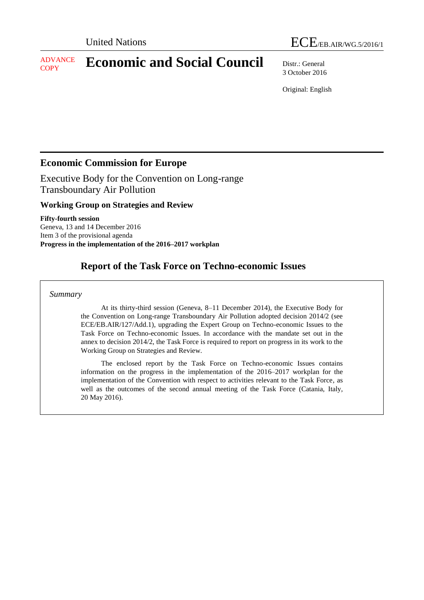#### ADVANCE **ADVANCE Economic and Social Council** Distr.: General

3 October 2016

Original: English

# **Economic Commission for Europe**

Executive Body for the Convention on Long-range Transboundary Air Pollution

## **Working Group on Strategies and Review**

**Fifty-fourth session** Geneva, 13 and 14 December 2016 Item 3 of the provisional agenda **Progress in the implementation of the 2016–2017 workplan**

# **Report of the Task Force on Techno-economic Issues**

### *Summary*

At its thirty-third session (Geneva, 8–11 December 2014), the Executive Body for the Convention on Long-range Transboundary Air Pollution adopted decision 2014/2 (see ECE/EB.AIR/127/Add.1), upgrading the Expert Group on Techno-economic Issues to the Task Force on Techno-economic Issues. In accordance with the mandate set out in the annex to decision 2014/2, the Task Force is required to report on progress in its work to the Working Group on Strategies and Review.

The enclosed report by the Task Force on Techno-economic Issues contains information on the progress in the implementation of the 2016–2017 workplan for the implementation of the Convention with respect to activities relevant to the Task Force, as well as the outcomes of the second annual meeting of the Task Force (Catania, Italy, 20 May 2016).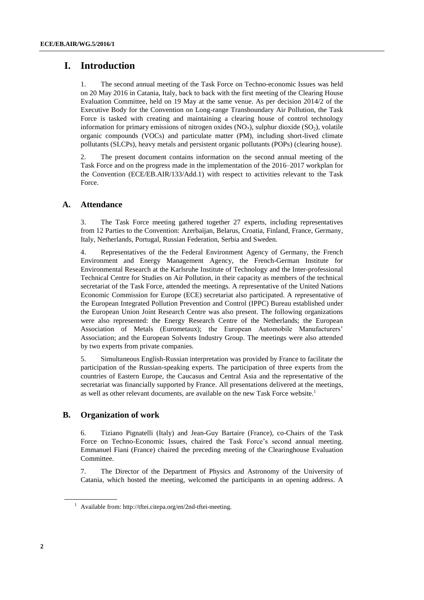## **I. Introduction**

1. The second annual meeting of the Task Force on Techno-economic Issues was held on 20 May 2016 in Catania, Italy, back to back with the first meeting of the Clearing House Evaluation Committee, held on 19 May at the same venue. As per decision 2014/2 of the Executive Body for the Convention on Long-range Transboundary Air Pollution, the Task Force is tasked with creating and maintaining a clearing house of control technology information for primary emissions of nitrogen oxides  $(NO<sub>x</sub>)$ , sulphur dioxide  $(SO<sub>2</sub>)$ , volatile organic compounds (VOCs) and particulate matter (PM), including short-lived climate pollutants (SLCPs), heavy metals and persistent organic pollutants (POPs) (clearing house).

2. The present document contains information on the second annual meeting of the Task Force and on the progress made in the implementation of the 2016–2017 workplan for the Convention (ECE/EB.AIR/133/Add.1) with respect to activities relevant to the Task Force.

### **A. Attendance**

3. The Task Force meeting gathered together 27 experts, including representatives from 12 Parties to the Convention: Azerbaijan, Belarus, Croatia, Finland, France, Germany, Italy, Netherlands, Portugal, Russian Federation, Serbia and Sweden.

4. Representatives of the the Federal Environment Agency of Germany, the French Environment and Energy Management Agency, the French-German Institute for Environmental Research at the Karlsruhe Institute of Technology and the Inter-professional Technical Centre for Studies on Air Pollution, in their capacity as members of the technical secretariat of the Task Force, attended the meetings. A representative of the United Nations Economic Commission for Europe (ECE) secretariat also participated. A representative of the European Integrated Pollution Prevention and Control (IPPC) Bureau established under the European Union Joint Research Centre was also present. The following organizations were also represented: the Energy Research Centre of the Netherlands; the European Association of Metals (Eurometaux); the European Automobile Manufacturers' Association; and the European Solvents Industry Group. The meetings were also attended by two experts from private companies.

5. Simultaneous English-Russian interpretation was provided by France to facilitate the participation of the Russian-speaking experts. The participation of three experts from the countries of Eastern Europe, the Caucasus and Central Asia and the representative of the secretariat was financially supported by France. All presentations delivered at the meetings, as well as other relevant documents, are available on the new Task Force website. 1

## **B. Organization of work**

6. Tiziano Pignatelli (Italy) and Jean-Guy Bartaire (France), co-Chairs of the Task Force on Techno-Economic Issues, chaired the Task Force's second annual meeting. Emmanuel Fiani (France) chaired the preceding meeting of the Clearinghouse Evaluation Committee.

7. The Director of the Department of Physics and Astronomy of the University of Catania, which hosted the meeting, welcomed the participants in an opening address. A

<sup>&</sup>lt;sup>1</sup> [Available](file://unece-fs1.unog.un.org/data/Shares/Groups/EHLM/APT/WGSR/WGSR%20sessions/WGSR54_2016/TFTEI%20TF%20report/Available) from: [http://tftei.citepa.org/en/2nd-tftei-meeting.](http://tftei.citepa.org/en/2nd-tftei-meeting)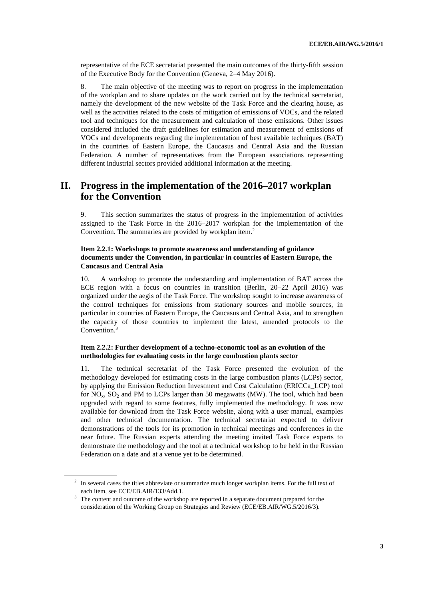representative of the ECE secretariat presented the main outcomes of the thirty-fifth session of the Executive Body for the Convention (Geneva, 2–4 May 2016).

8. The main objective of the meeting was to report on progress in the implementation of the workplan and to share updates on the work carried out by the technical secretariat, namely the development of the new website of the Task Force and the clearing house, as well as the activities related to the costs of mitigation of emissions of VOCs, and the related tool and techniques for the measurement and calculation of those emissions. Other issues considered included the draft guidelines for estimation and measurement of emissions of VOCs and developments regarding the implementation of best available techniques (BAT) in the countries of Eastern Europe, the Caucasus and Central Asia and the Russian Federation. A number of representatives from the European associations representing different industrial sectors provided additional information at the meeting.

## **II. Progress in the implementation of the 2016–2017 workplan for the Convention**

9. This section summarizes the status of progress in the implementation of activities assigned to the Task Force in the 2016–2017 workplan for the implementation of the Convention. The summaries are provided by workplan item.<sup>2</sup>

### **Item 2.2.1: Workshops to promote awareness and understanding of guidance documents under the Convention, in particular in countries of Eastern Europe, the Caucasus and Central Asia**

10. A workshop to promote the understanding and implementation of BAT across the ECE region with a focus on countries in transition (Berlin, 20–22 April 2016) was organized under the aegis of the Task Force. The workshop sought to increase awareness of the control techniques for emissions from stationary sources and mobile sources, in particular in countries of Eastern Europe, the Caucasus and Central Asia, and to strengthen the capacity of those countries to implement the latest, amended protocols to the Convention. 3

### **Item 2.2.2: Further development of a techno-economic tool as an evolution of the methodologies for evaluating costs in the large combustion plants sector**

11. The technical secretariat of the Task Force presented the evolution of the methodology developed for estimating costs in the large combustion plants (LCPs) sector, by applying the Emission Reduction Investment and Cost Calculation (ERICCa\_LCP) tool for  $NO<sub>x</sub>$ ,  $SO<sub>2</sub>$  and PM to LCPs larger than 50 megawatts (MW). The tool, which had been upgraded with regard to some features, fully implemented the methodology. It was now available for download from the Task Force website, along with a user manual, examples and other technical documentation. The technical secretariat expected to deliver demonstrations of the tools for its promotion in technical meetings and conferences in the near future. The Russian experts attending the meeting invited Task Force experts to demonstrate the methodology and the tool at a technical workshop to be held in the Russian Federation on a date and at a venue yet to be determined.

 $2\;\;$  In several cases the titles abbreviate or summarize much longer workplan items. For the full text of each item, see ECE/EB.AIR/133/Add.1.

<sup>&</sup>lt;sup>3</sup> The content and outcome of the workshop are reported in a separate document prepared for the consideration of the Working Group on Strategies and Review (ECE/EB.AIR/WG.5/2016/3).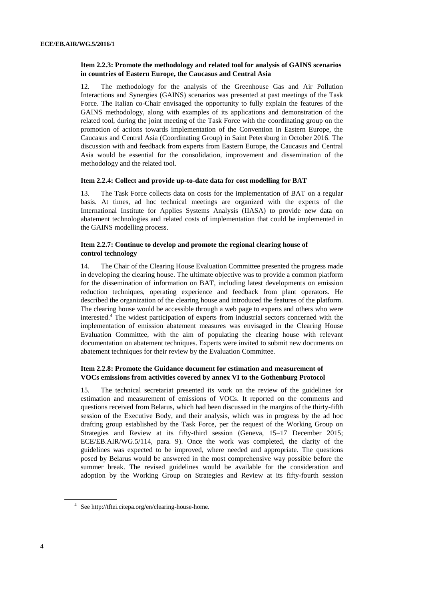### **Item 2.2.3: Promote the methodology and related tool for analysis of GAINS scenarios in countries of Eastern Europe, the Caucasus and Central Asia**

12. The methodology for the analysis of the Greenhouse Gas and Air Pollution Interactions and Synergies (GAINS) scenarios was presented at past meetings of the Task Force. The Italian co-Chair envisaged the opportunity to fully explain the features of the GAINS methodology, along with examples of its applications and demonstration of the related tool, during the joint meeting of the Task Force with the coordinating group on the promotion of actions towards implementation of the Convention in Eastern Europe, the Caucasus and Central Asia (Coordinating Group) in Saint Petersburg in October 2016. The discussion with and feedback from experts from Eastern Europe, the Caucasus and Central Asia would be essential for the consolidation, improvement and dissemination of the methodology and the related tool.

#### **Item 2.2.4: Collect and provide up-to-date data for cost modelling for BAT**

13. The Task Force collects data on costs for the implementation of BAT on a regular basis. At times, ad hoc technical meetings are organized with the experts of the International Institute for Applies Systems Analysis (IIASA) to provide new data on abatement technologies and related costs of implementation that could be implemented in the GAINS modelling process.

### **Item 2.2.7: Continue to develop and promote the regional clearing house of control technology**

14. The Chair of the Clearing House Evaluation Committee presented the progress made in developing the clearing house. The ultimate objective was to provide a common platform for the dissemination of information on BAT, including latest developments on emission reduction techniques, operating experience and feedback from plant operators. He described the organization of the clearing house and introduced the features of the platform. The clearing house would be accessible through a web page to experts and others who were interested.<sup>4</sup> The widest participation of experts from industrial sectors concerned with the implementation of emission abatement measures was envisaged in the Clearing House Evaluation Committee, with the aim of populating the clearing house with relevant documentation on abatement techniques. Experts were invited to submit new documents on abatement techniques for their review by the Evaluation Committee.

### **Item 2.2.8: Promote the Guidance document for estimation and measurement of VOCs emissions from activities covered by annex VI to the Gothenburg Protocol**

15. The technical secretariat presented its work on the review of the guidelines for estimation and measurement of emissions of VOCs. It reported on the comments and questions received from Belarus, which had been discussed in the margins of the thirty-fifth session of the Executive Body, and their analysis, which was in progress by the ad hoc drafting group established by the Task Force, per the request of the Working Group on Strategies and Review at its fifty-third session (Geneva, 15–17 December 2015; ECE/EB.AIR/WG.5/114, para. 9). Once the work was completed, the clarity of the guidelines was expected to be improved, where needed and appropriate. The questions posed by Belarus would be answered in the most comprehensive way possible before the summer break. The revised guidelines would be available for the consideration and adoption by the Working Group on Strategies and Review at its fifty-fourth session

<sup>4</sup> Se[e http://tftei.citepa.org/en/clearing-house-home.](http://tftei.citepa.org/en/clearing-house-home)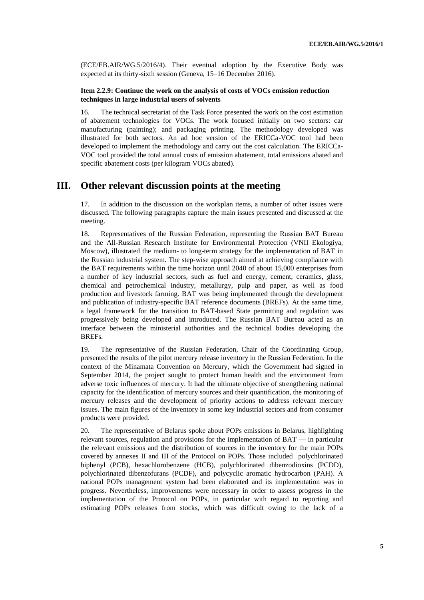(ECE/EB.AIR/WG.5/2016/4). Their eventual adoption by the Executive Body was expected at its thirty-sixth session (Geneva, 15–16 December 2016).

### **Item 2.2.9: Continue the work on the analysis of costs of VOCs emission reduction techniques in large industrial users of solvents**

16. The technical secretariat of the Task Force presented the work on the cost estimation of abatement technologies for VOCs. The work focused initially on two sectors: car manufacturing (painting); and packaging printing. The methodology developed was illustrated for both sectors. An ad hoc version of the ERICCa-VOC tool had been developed to implement the methodology and carry out the cost calculation. The ERICCa-VOC tool provided the total annual costs of emission abatement, total emissions abated and specific abatement costs (per kilogram VOCs abated).

## **III. Other relevant discussion points at the meeting**

17. In addition to the discussion on the workplan items, a number of other issues were discussed. The following paragraphs capture the main issues presented and discussed at the meeting.

18. Representatives of the Russian Federation, representing the Russian BAT Bureau and the All-Russian Research Institute for Environmental Protection (VNII Ekologiya, Moscow), illustrated the medium- to long-term strategy for the implementation of BAT in the Russian industrial system. The step-wise approach aimed at achieving compliance with the BAT requirements within the time horizon until 2040 of about 15,000 enterprises from a number of key industrial sectors, such as fuel and energy, cement, ceramics, glass, chemical and petrochemical industry, metallurgy, pulp and paper, as well as food production and livestock farming. BAT was being implemented through the development and publication of industry-specific BAT reference documents (BREFs). At the same time, a legal framework for the transition to BAT-based State permitting and regulation was progressively being developed and introduced. The Russian BAT Bureau acted as an interface between the ministerial authorities and the technical bodies developing the BREFs.

19. The representative of the Russian Federation, Chair of the Coordinating Group, presented the results of the pilot mercury release inventory in the Russian Federation. In the context of the Minamata Convention on Mercury, which the Government had signed in September 2014, the project sought to protect human health and the environment from adverse toxic influences of mercury. It had the ultimate objective of strengthening national capacity for the identification of mercury sources and their quantification, the monitoring of mercury releases and the development of priority actions to address relevant mercury issues. The main figures of the inventory in some key industrial sectors and from consumer products were provided.

20. The representative of Belarus spoke about POPs emissions in Belarus, highlighting relevant sources, regulation and provisions for the implementation of  $BAT - in$  particular the relevant emissions and the distribution of sources in the inventory for the main POPs covered by annexes II and III of the Protocol on POPs. Those included polychlorinated biphenyl (PCB), hexachlorobenzene (HCB), polychlorinated dibenzodioxins (PCDD), polychlorinated dibenzofurans (PCDF), and polycyclic aromatic hydrocarbon (PAH). A national POPs management system had been elaborated and its implementation was in progress. Nevertheless, improvements were necessary in order to assess progress in the implementation of the Protocol on POPs, in particular with regard to reporting and estimating POPs releases from stocks, which was difficult owing to the lack of a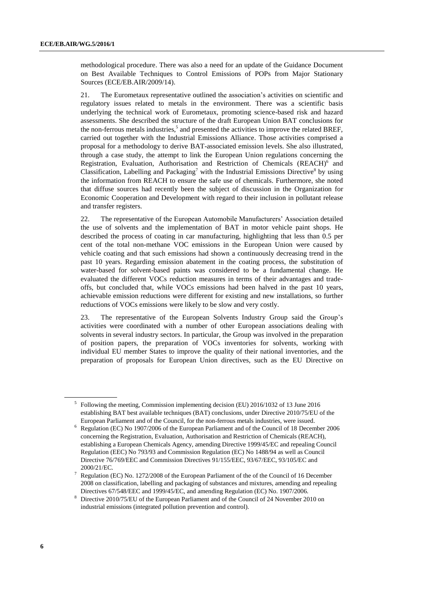methodological procedure. There was also a need for an update of the Guidance Document on Best Available Techniques to Control Emissions of POPs from Major Stationary Sources (ECE/EB.AIR/2009/14).

21. The Eurometaux representative outlined the association's activities on scientific and regulatory issues related to metals in the environment. There was a scientific basis underlying the technical work of Eurometaux, promoting science-based risk and hazard assessments. She described the structure of the draft European Union BAT conclusions for the non-ferrous metals industries, 5 and presented the activities to improve the related BREF, carried out together with the Industrial Emissions Alliance. Those activities comprised a proposal for a methodology to derive BAT-associated emission levels. She also illustrated, through a case study, the attempt to link the European Union regulations concerning the Registration, Evaluation, Authorisation and Restriction of Chemicals (REACH)<sup>6</sup> and Classification, Labelling and Packaging<sup>7</sup> with the Industrial Emissions Directive<sup>8</sup> by using the information from REACH to ensure the safe use of chemicals. Furthermore, she noted that diffuse sources had recently been the subject of discussion in the Organization for Economic Cooperation and Development with regard to their inclusion in pollutant release and transfer registers.

22. The representative of the European Automobile Manufacturers' Association detailed the use of solvents and the implementation of BAT in motor vehicle paint shops. He described the process of coating in car manufacturing, highlighting that less than 0.5 per cent of the total non-methane VOC emissions in the European Union were caused by vehicle coating and that such emissions had shown a continuously decreasing trend in the past 10 years. Regarding emission abatement in the coating process, the substitution of water-based for solvent-based paints was considered to be a fundamental change. He evaluated the different VOCs reduction measures in terms of their advantages and tradeoffs, but concluded that, while VOCs emissions had been halved in the past 10 years, achievable emission reductions were different for existing and new installations, so further reductions of VOCs emissions were likely to be slow and very costly.

23. The representative of the European Solvents Industry Group said the Group's activities were coordinated with a number of other European associations dealing with solvents in several industry sectors. In particular, the Group was involved in the preparation of position papers, the preparation of VOCs inventories for solvents, working with individual EU member States to improve the quality of their national inventories, and the preparation of proposals for European Union directives, such as the EU Directive on

<sup>&</sup>lt;sup>5</sup> Following the meeting, Commission implementing decision (EU) 2016/1032 of 13 June 2016 establishing BAT best available techniques (BAT) conclusions, under Directive 2010/75/EU of the European Parliament and of the Council, for the non-ferrous metals industries, were issued.

<sup>6</sup> Regulation (EC) No 1907/2006 of the European Parliament and of the Council of 18 December 2006 concerning the Registration, Evaluation, Authorisation and Restriction of Chemicals (REACH), establishing a European Chemicals Agency, amending Directive 1999/45/EC and repealing Council Regulation (EEC) No 793/93 and Commission Regulation (EC) No 1488/94 as well as Council Directive 76/769/EEC and Commission Directives 91/155/EEC, 93/67/EEC, 93/105/EC and 2000/21/EC.

<sup>7</sup> Regulation (EC) No. 1272/2008 of the European Parliament of the of the Council of 16 December 2008 on classification, labelling and packaging of substances and mixtures, amending and repealing Directives 67/548/EEC and 1999/45/EC, and amending Regulation (EC) No. 1907/2006.

<sup>8</sup> Directive 2010/75/EU of the European Parliament and of the Council of 24 November 2010 on industrial emissions (integrated pollution prevention and control).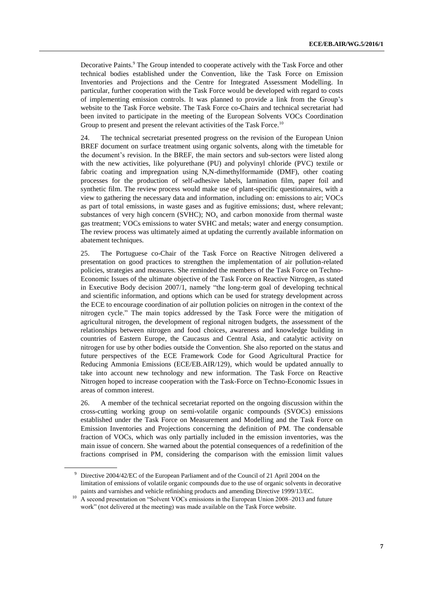Decorative Paints.<sup>9</sup> The Group intended to cooperate actively with the Task Force and other technical bodies established under the Convention, like the Task Force on Emission Inventories and Projections and the Centre for Integrated Assessment Modelling. In particular, further cooperation with the Task Force would be developed with regard to costs of implementing emission controls. It was planned to provide a link from the Group's website to the Task Force website. The Task Force co-Chairs and technical secretariat had been invited to participate in the meeting of the European Solvents VOCs Coordination Group to present and present the relevant activities of the Task Force.<sup>10</sup>

24. The technical secretariat presented progress on the revision of the European Union BREF document on surface treatment using organic solvents, along with the timetable for the document's revision. In the BREF, the main sectors and sub-sectors were listed along with the new activities, like polyurethane (PU) and polyvinyl chloride (PVC) textile or fabric coating and impregnation using N,N-dimethylformamide (DMF), other coating processes for the production of self-adhesive labels, lamination film, paper foil and synthetic film. The review process would make use of plant-specific questionnaires, with a view to gathering the necessary data and information, including on: emissions to air; VOCs as part of total emissions, in waste gases and as fugitive emissions; dust, where relevant; substances of very high concern (SVHC);  $NO<sub>x</sub>$  and carbon monoxide from thermal waste gas treatment; VOCs emissions to water SVHC and metals; water and energy consumption. The review process was ultimately aimed at updating the currently available information on abatement techniques.

25. The Portuguese co-Chair of the Task Force on Reactive Nitrogen delivered a presentation on good practices to strengthen the implementation of air pollution-related policies, strategies and measures. She reminded the members of the Task Force on Techno-Economic Issues of the ultimate objective of the Task Force on Reactive Nitrogen, as stated in Executive Body decision 2007/1, namely "the long-term goal of developing technical and scientific information, and options which can be used for strategy development across the ECE to encourage coordination of air pollution policies on nitrogen in the context of the nitrogen cycle." The main topics addressed by the Task Force were the mitigation of agricultural nitrogen, the development of regional nitrogen budgets, the assessment of the relationships between nitrogen and food choices, awareness and knowledge building in countries of Eastern Europe, the Caucasus and Central Asia, and catalytic activity on nitrogen for use by other bodies outside the Convention. She also reported on the status and future perspectives of the ECE Framework Code for Good Agricultural Practice for Reducing Ammonia Emissions (ECE/EB.AIR/129), which would be updated annually to take into account new technology and new information. The Task Force on Reactive Nitrogen hoped to increase cooperation with the Task-Force on Techno-Economic Issues in areas of common interest.

26. A member of the technical secretariat reported on the ongoing discussion within the cross-cutting working group on semi-volatile organic compounds (SVOCs) emissions established under the Task Force on Measurement and Modelling and the Task Force on Emission Inventories and Projections concerning the definition of PM. The condensable fraction of VOCs, which was only partially included in the emission inventories, was the main issue of concern. She warned about the potential consequences of a redefinition of the fractions comprised in PM, considering the comparison with the emission limit values

<sup>9</sup> [Directive 2004/42/EC](http://eur-lex.europa.eu/legal-content/EN/TXT/?uri=CELEX:32004L0042) of the European Parliament and of the Council of 21 April 2004 on the limitation of emissions of volatile organic compounds due to the use of organic solvents in decorative paints and varnishes and vehicle refinishing products and amending Directive 1999/13/EC.

<sup>&</sup>lt;sup>10</sup> A second presentation on "Solvent VOCs emissions in the European Union 2008–2013 and future work" (not delivered at the meeting) was made available on the Task Force website.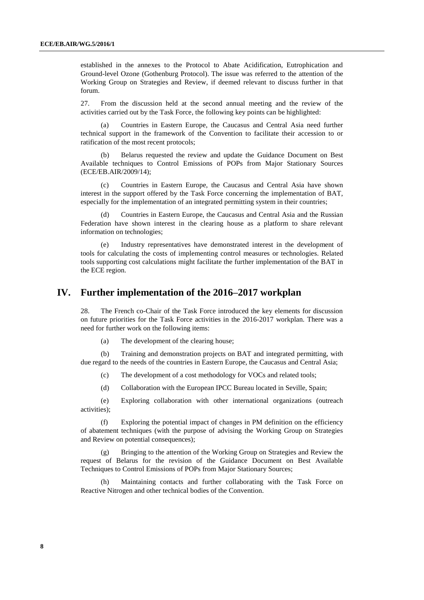established in the annexes to the Protocol to Abate Acidification, Eutrophication and Ground-level Ozone (Gothenburg Protocol). The issue was referred to the attention of the Working Group on Strategies and Review, if deemed relevant to discuss further in that forum.

27. From the discussion held at the second annual meeting and the review of the activities carried out by the Task Force, the following key points can be highlighted:

(a) Countries in Eastern Europe, the Caucasus and Central Asia need further technical support in the framework of the Convention to facilitate their accession to or ratification of the most recent protocols;

(b) Belarus requested the review and update the Guidance Document on Best Available techniques to Control Emissions of POPs from Major Stationary Sources (ECE/EB.AIR/2009/14);

(c) Countries in Eastern Europe, the Caucasus and Central Asia have shown interest in the support offered by the Task Force concerning the implementation of BAT, especially for the implementation of an integrated permitting system in their countries;

Countries in Eastern Europe, the Caucasus and Central Asia and the Russian Federation have shown interest in the clearing house as a platform to share relevant information on technologies;

(e) Industry representatives have demonstrated interest in the development of tools for calculating the costs of implementing control measures or technologies. Related tools supporting cost calculations might facilitate the further implementation of the BAT in the ECE region.

## **IV. Further implementation of the 2016–2017 workplan**

28. The French co-Chair of the Task Force introduced the key elements for discussion on future priorities for the Task Force activities in the 2016-2017 workplan. There was a need for further work on the following items:

(a) The development of the clearing house;

(b) Training and demonstration projects on BAT and integrated permitting, with due regard to the needs of the countries in Eastern Europe, the Caucasus and Central Asia;

(c) The development of a cost methodology for VOCs and related tools;

(d) Collaboration with the European IPCC Bureau located in Seville, Spain;

(e) Exploring collaboration with other international organizations (outreach activities);

(f) Exploring the potential impact of changes in PM definition on the efficiency of abatement techniques (with the purpose of advising the Working Group on Strategies and Review on potential consequences);

(g) Bringing to the attention of the Working Group on Strategies and Review the request of Belarus for the revision of the Guidance Document on Best Available Techniques to Control Emissions of POPs from Major Stationary Sources;

(h) Maintaining contacts and further collaborating with the Task Force on Reactive Nitrogen and other technical bodies of the Convention.